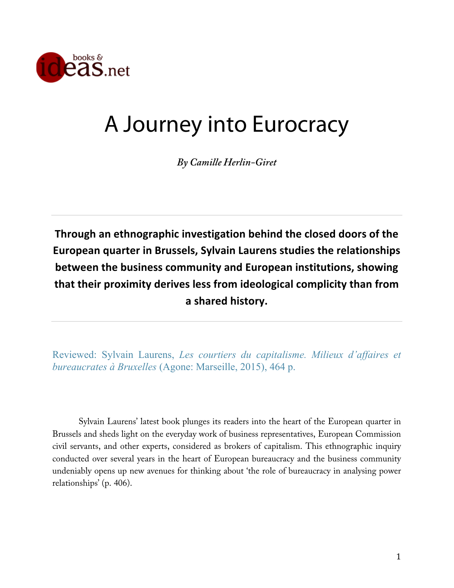

## A Journey into Eurocracy

*By Camille Herlin-Giret*

**Through an ethnographic investigation behind the closed doors of the European quarter in Brussels, Sylvain Laurens studies the relationships between the business community and European institutions, showing that their proximity derives less from ideological complicity than from a shared history.**

Reviewed: Sylvain Laurens, *Les courtiers du capitalisme. Milieux d'affaires et bureaucrates à Bruxelles* (Agone: Marseille, 2015), 464 p.

Sylvain Laurens' latest book plunges its readers into the heart of the European quarter in Brussels and sheds light on the everyday work of business representatives, European Commission civil servants, and other experts, considered as brokers of capitalism. This ethnographic inquiry conducted over several years in the heart of European bureaucracy and the business community undeniably opens up new avenues for thinking about 'the role of bureaucracy in analysing power relationships' (p. 406).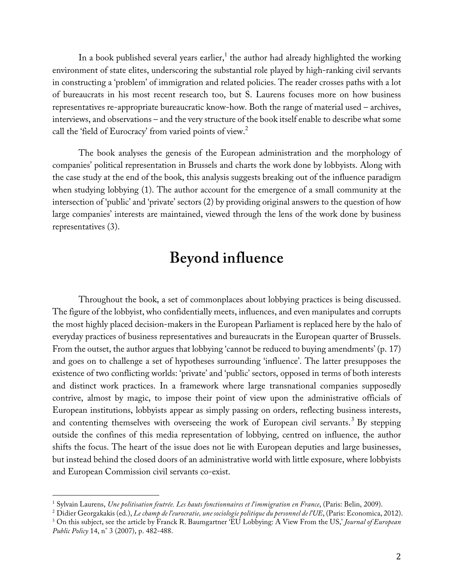In a book published several years earlier,<sup>1</sup> the author had already highlighted the working environment of state elites, underscoring the substantial role played by high-ranking civil servants in constructing a 'problem' of immigration and related policies. The reader crosses paths with a lot of bureaucrats in his most recent research too, but S. Laurens focuses more on how business representatives re-appropriate bureaucratic know-how. Both the range of material used – archives, interviews, and observations – and the very structure of the book itself enable to describe what some call the 'field of Eurocracy' from varied points of view.<sup>2</sup>

The book analyses the genesis of the European administration and the morphology of companies' political representation in Brussels and charts the work done by lobbyists. Along with the case study at the end of the book, this analysis suggests breaking out of the influence paradigm when studying lobbying (1). The author account for the emergence of a small community at the intersection of 'public' and 'private' sectors (2) by providing original answers to the question of how large companies' interests are maintained, viewed through the lens of the work done by business representatives (3).

## **Beyond influence**

Throughout the book, a set of commonplaces about lobbying practices is being discussed. The figure of the lobbyist, who confidentially meets, influences, and even manipulates and corrupts the most highly placed decision-makers in the European Parliament is replaced here by the halo of everyday practices of business representatives and bureaucrats in the European quarter of Brussels. From the outset, the author argues that lobbying 'cannot be reduced to buying amendments' (p. 17) and goes on to challenge a set of hypotheses surrounding 'influence'. The latter presupposes the existence of two conflicting worlds: 'private' and 'public' sectors, opposed in terms of both interests and distinct work practices. In a framework where large transnational companies supposedly contrive, almost by magic, to impose their point of view upon the administrative officials of European institutions, lobbyists appear as simply passing on orders, reflecting business interests, and contenting themselves with overseeing the work of European civil servants.<sup>3</sup> By stepping outside the confines of this media representation of lobbying, centred on influence, the author shifts the focus. The heart of the issue does not lie with European deputies and large businesses, but instead behind the closed doors of an administrative world with little exposure, where lobbyists and European Commission civil servants co-exist.

<sup>1</sup> Sylvain Laurens, *Une politisation feutrée. Les hauts fonctionnaires et l'immigration en France*, (Paris: Belin, 2009).

<sup>2</sup> Didier Georgakakis (ed.), *Le champ de l'eurocratie, une sociologie politique du personnel de l'UE*, (Paris: Economica, 2012).

<sup>3</sup> On this subject, see the article by Franck R. Baumgartner 'EU Lobbying: A View From the US,' *Journal of European Public Policy* 14, n° 3 (2007), p. 482-488.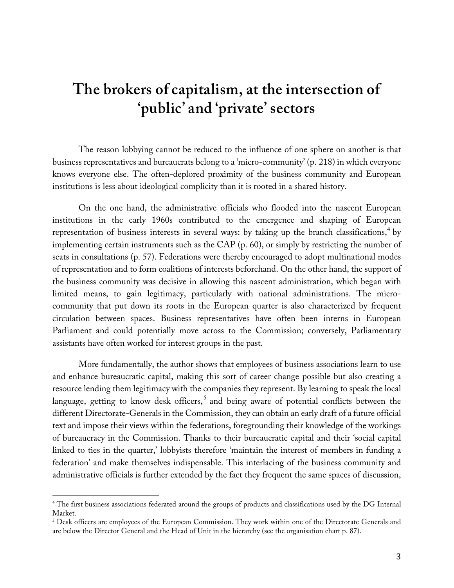## **The brokers of capitalism, at the intersection of 'public' and 'private' sectors**

The reason lobbying cannot be reduced to the influence of one sphere on another is that business representatives and bureaucrats belong to a 'micro-community' (p. 218) in which everyone knows everyone else. The often-deplored proximity of the business community and European institutions is less about ideological complicity than it is rooted in a shared history.

On the one hand, the administrative officials who flooded into the nascent European institutions in the early 1960s contributed to the emergence and shaping of European representation of business interests in several ways: by taking up the branch classifications, <sup>4</sup> by implementing certain instruments such as the CAP (p. 60), or simply by restricting the number of seats in consultations (p. 57). Federations were thereby encouraged to adopt multinational modes of representation and to form coalitions of interests beforehand. On the other hand, the support of the business community was decisive in allowing this nascent administration, which began with limited means, to gain legitimacy, particularly with national administrations. The microcommunity that put down its roots in the European quarter is also characterized by frequent circulation between spaces. Business representatives have often been interns in European Parliament and could potentially move across to the Commission; conversely, Parliamentary assistants have often worked for interest groups in the past.

More fundamentally, the author shows that employees of business associations learn to use and enhance bureaucratic capital, making this sort of career change possible but also creating a resource lending them legitimacy with the companies they represent. By learning to speak the local language, getting to know desk officers,<sup>5</sup> and being aware of potential conflicts between the different Directorate-Generals in the Commission, they can obtain an early draft of a future official text and impose their views within the federations, foregrounding their knowledge of the workings of bureaucracy in the Commission. Thanks to their bureaucratic capital and their 'social capital linked to ties in the quarter,' lobbyists therefore 'maintain the interest of members in funding a federation' and make themselves indispensable. This interlacing of the business community and administrative officials is further extended by the fact they frequent the same spaces of discussion,

<sup>4</sup> The first business associations federated around the groups of products and classifications used by the DG Internal Market.

<sup>&</sup>lt;sup>5</sup> Desk officers are employees of the European Commission. They work within one of the Directorate Generals and are below the Director General and the Head of Unit in the hierarchy (see the organisation chart p. 87).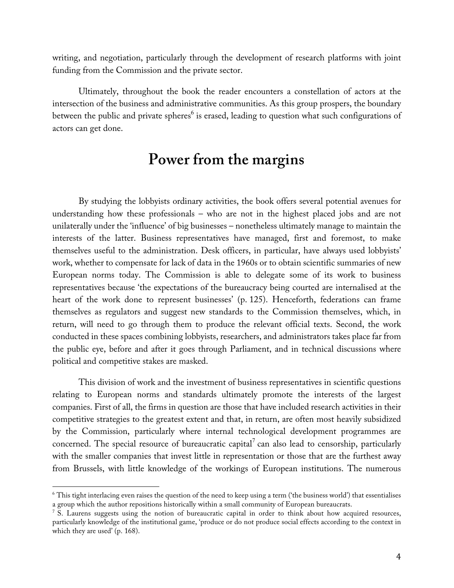writing, and negotiation, particularly through the development of research platforms with joint funding from the Commission and the private sector.

Ultimately, throughout the book the reader encounters a constellation of actors at the intersection of the business and administrative communities. As this group prospers, the boundary between the public and private spheres<sup>6</sup> is erased, leading to question what such configurations of actors can get done.

## **Power from the margins**

By studying the lobbyists ordinary activities, the book offers several potential avenues for understanding how these professionals – who are not in the highest placed jobs and are not unilaterally under the 'influence' of big businesses – nonetheless ultimately manage to maintain the interests of the latter. Business representatives have managed, first and foremost, to make themselves useful to the administration. Desk officers, in particular, have always used lobbyists' work, whether to compensate for lack of data in the 1960s or to obtain scientific summaries of new European norms today. The Commission is able to delegate some of its work to business representatives because 'the expectations of the bureaucracy being courted are internalised at the heart of the work done to represent businesses' (p. 125). Henceforth, federations can frame themselves as regulators and suggest new standards to the Commission themselves, which, in return, will need to go through them to produce the relevant official texts. Second, the work conducted in these spaces combining lobbyists, researchers, and administrators takes place far from the public eye, before and after it goes through Parliament, and in technical discussions where political and competitive stakes are masked.

This division of work and the investment of business representatives in scientific questions relating to European norms and standards ultimately promote the interests of the largest companies. First of all, the firms in question are those that have included research activities in their competitive strategies to the greatest extent and that, in return, are often most heavily subsidized by the Commission, particularly where internal technological development programmes are concerned. The special resource of bureaucratic capital<sup>7</sup> can also lead to censorship, particularly with the smaller companies that invest little in representation or those that are the furthest away from Brussels, with little knowledge of the workings of European institutions. The numerous

<sup>6</sup> This tight interlacing even raises the question of the need to keep using a term ('the business world') that essentialises a group which the author repositions historically within a small community of European bureaucrats.

<sup>7</sup> S. Laurens suggests using the notion of bureaucratic capital in order to think about how acquired resources, particularly knowledge of the institutional game, 'produce or do not produce social effects according to the context in which they are used' (p. 168).